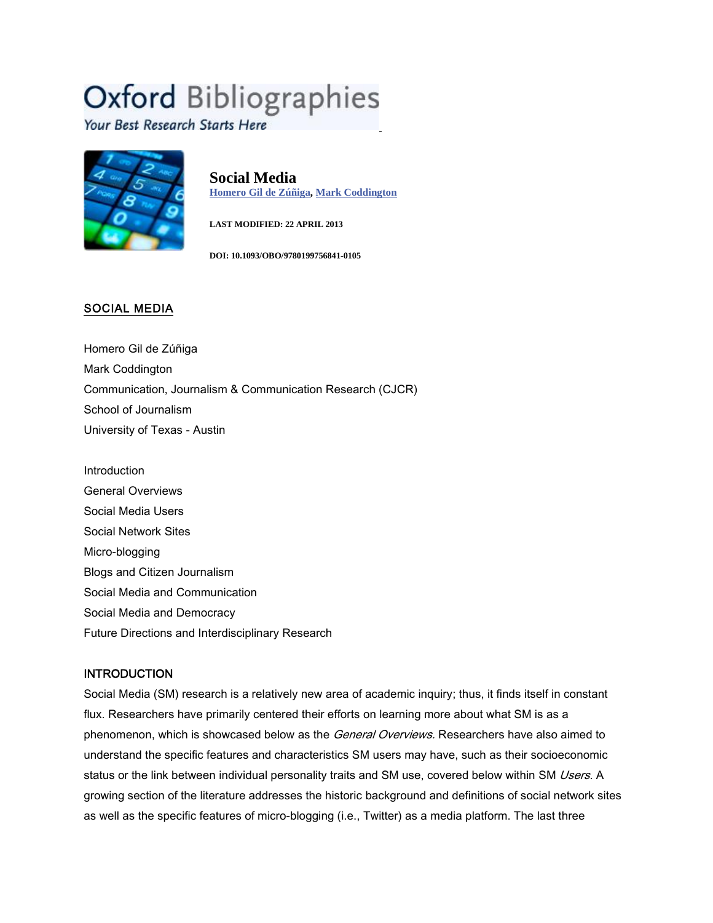# **Oxford Bibliographies**

Your Best Research Starts Here



**Social Media Homero Gil de Zúñiga, Mark Coddington**

**LAST MODIFIED: 22 APRIL 2013**

**DOI: 10.1093/OBO/9780199756841-0105**

## **SOCIAL MEDIA**

Homero Gil de Zúñiga Mark Coddington Communication, Journalism & Communication Research (CJCR) School of Journalism University of Texas - Austin

**Introduction** General Overviews Social Media Users Social Network Sites Micro-blogging Blogs and Citizen Journalism Social Media and Communication Social Media and Democracy Future Directions and Interdisciplinary Research

# **INTRODUCTION**

Social Media (SM) research is a relatively new area of academic inquiry; thus, it finds itself in constant flux. Researchers have primarily centered their efforts on learning more about what SM is as a phenomenon, which is showcased below as the *General Overviews.* Researchers have also aimed to understand the specific features and characteristics SM users may have, such as their socioeconomic status or the link between individual personality traits and SM use, covered below within SM *Users*. A growing section of the literature addresses the historic background and definitions of social network sites as well as the specific features of micro-blogging (i.e., Twitter) as a media platform. The last three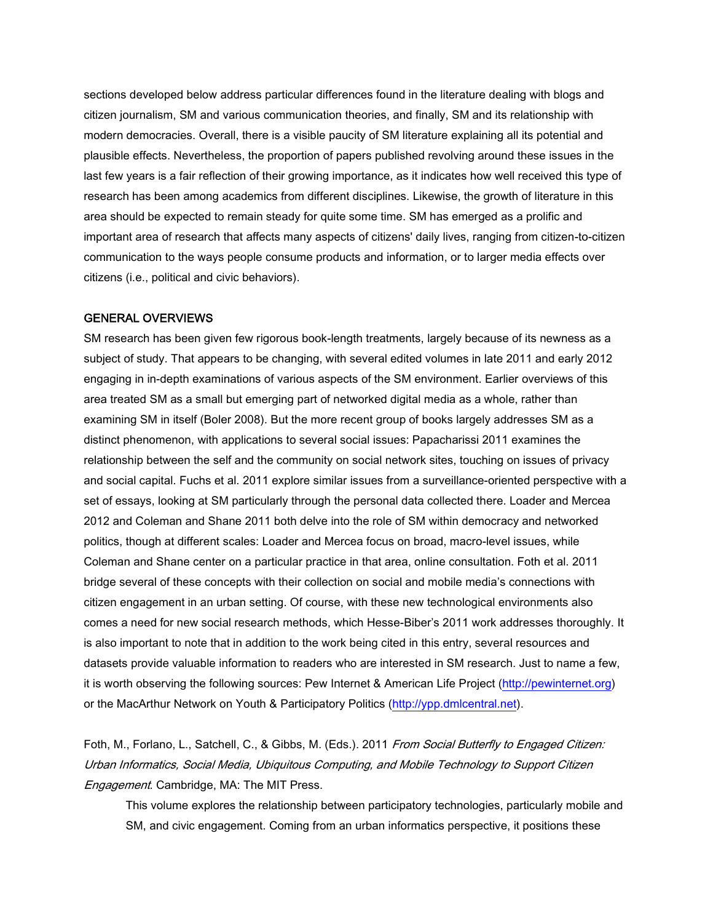sections developed below address particular differences found in the literature dealing with blogs and citizen journalism, SM and various communication theories, and finally, SM and its relationship with modern democracies. Overall, there is a visible paucity of SM literature explaining all its potential and plausible effects. Nevertheless, the proportion of papers published revolving around these issues in the last few years is a fair reflection of their growing importance, as it indicates how well received this type of research has been among academics from different disciplines. Likewise, the growth of literature in this area should be expected to remain steady for quite some time. SM has emerged as a prolific and important area of research that affects many aspects of citizens' daily lives, ranging from citizen-to-citizen communication to the ways people consume products and information, or to larger media effects over citizens (i.e., political and civic behaviors).

#### **GENERAL OVERVIEWS**

SM research has been given few rigorous book-length treatments, largely because of its newness as a subject of study. That appears to be changing, with several edited volumes in late 2011 and early 2012 engaging in in-depth examinations of various aspects of the SM environment. Earlier overviews of this area treated SM as a small but emerging part of networked digital media as a whole, rather than examining SM in itself (Boler 2008). But the more recent group of books largely addresses SM as a distinct phenomenon, with applications to several social issues: Papacharissi 2011 examines the relationship between the self and the community on social network sites, touching on issues of privacy and social capital. Fuchs et al. 2011 explore similar issues from a surveillance-oriented perspective with a set of essays, looking at SM particularly through the personal data collected there. Loader and Mercea 2012 and Coleman and Shane 2011 both delve into the role of SM within democracy and networked politics, though at different scales: Loader and Mercea focus on broad, macro-level issues, while Coleman and Shane center on a particular practice in that area, online consultation. Foth et al. 2011 bridge several of these concepts with their collection on social and mobile media's connections with citizen engagement in an urban setting. Of course, with these new technological environments also comes a need for new social research methods, which Hesse-Biber's 2011 work addresses thoroughly. It is also important to note that in addition to the work being cited in this entry, several resources and datasets provide valuable information to readers who are interested in SM research. Just to name a few, it is worth observing the following sources: Pew Internet & American Life Project (http://pewinternet.org) or the MacArthur Network on Youth & Participatory Politics (http://ypp.dmlcentral.net).

Foth, M., Forlano, L., Satchell, C., & Gibbs, M. (Eds.). 2011 *From Social Butterfly to Engaged Citizen: Urban Informatics, Social Media, Ubiquitous Computing, and Mobile Technology to Support Citizen Engagement*. Cambridge, MA: The MIT Press.

This volume explores the relationship between participatory technologies, particularly mobile and SM, and civic engagement. Coming from an urban informatics perspective, it positions these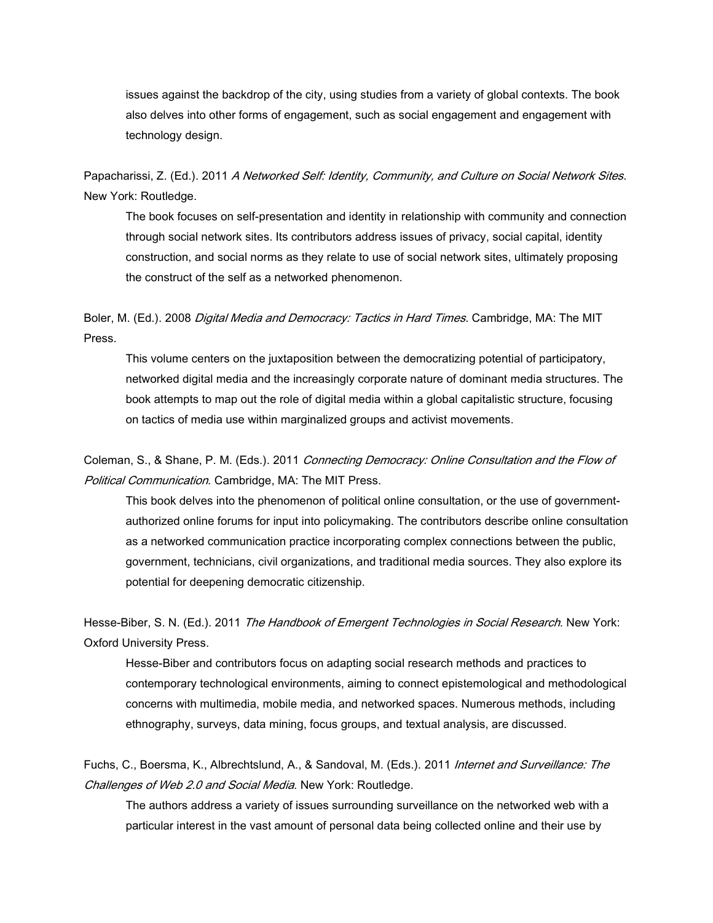issues against the backdrop of the city, using studies from a variety of global contexts. The book also delves into other forms of engagement, such as social engagement and engagement with technology design.

Papacharissi, Z. (Ed.). 2011 *A Networked Self: Identity, Community, and Culture on Social Network Sites*. New York: Routledge.

The book focuses on self-presentation and identity in relationship with community and connection through social network sites. Its contributors address issues of privacy, social capital, identity construction, and social norms as they relate to use of social network sites, ultimately proposing the construct of the self as a networked phenomenon.

Boler, M. (Ed.). 2008 *Digital Media and Democracy: Tactics in Hard Times*. Cambridge, MA: The MIT Press.

This volume centers on the juxtaposition between the democratizing potential of participatory, networked digital media and the increasingly corporate nature of dominant media structures. The book attempts to map out the role of digital media within a global capitalistic structure, focusing on tactics of media use within marginalized groups and activist movements.

Coleman, S., & Shane, P. M. (Eds.). 2011 *Connecting Democracy: Online Consultation and the Flow of Political Communication*. Cambridge, MA: The MIT Press.

This book delves into the phenomenon of political online consultation, or the use of government authorized online forums for input into policymaking. The contributors describe online consultation as a networked communication practice incorporating complex connections between the public, government, technicians, civil organizations, and traditional media sources. They also explore its potential for deepening democratic citizenship.

Hesse-Biber, S. N. (Ed.). 2011 *The Handbook of Emergent Technologies in Social Research*. New York: Oxford University Press.

Hesse-Biber and contributors focus on adapting social research methods and practices to contemporary technological environments, aiming to connect epistemological and methodological concerns with multimedia, mobile media, and networked spaces. Numerous methods, including ethnography, surveys, data mining, focus groups, and textual analysis, are discussed.

Fuchs, C., Boersma, K., Albrechtslund, A., & Sandoval, M. (Eds.). 2011 *Internet and Surveillance: The Challenges of Web 2.0 and Social Media*. New York: Routledge.

The authors address a variety of issues surrounding surveillance on the networked web with a particular interest in the vast amount of personal data being collected online and their use by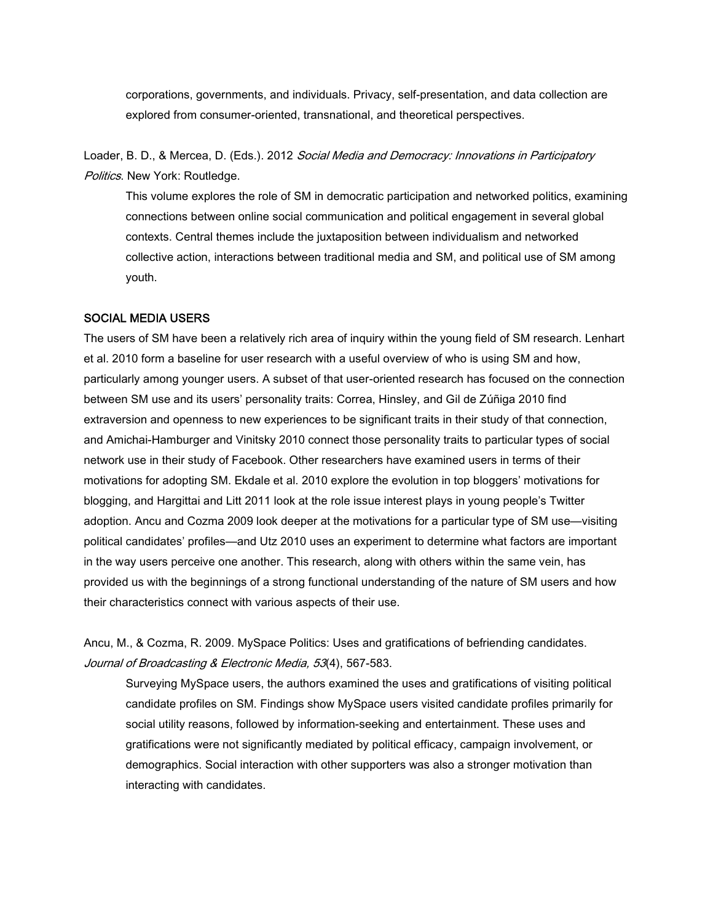corporations, governments, and individuals. Privacy, self-presentation, and data collection are explored from consumer-oriented, transnational, and theoretical perspectives.

Loader, B. D., & Mercea, D. (Eds.). 2012 *Social Media and Democracy: Innovations in Participatory Politics*. New York: Routledge.

This volume explores the role of SM in democratic participation and networked politics, examining connections between online social communication and political engagement in several global contexts. Central themes include the juxtaposition between individualism and networked collective action, interactions between traditional media and SM, and political use of SM among youth.

#### **SOCIAL MEDIA USERS**

The users of SM have been a relatively rich area of inquiry within the young field of SM research. Lenhart et al. 2010 form a baseline for user research with a useful overview of who is using SM and how, particularly among younger users. A subset of that user-oriented research has focused on the connection between SM use and its users' personality traits: Correa, Hinsley, and Gil de Zúñiga 2010 find extraversion and openness to new experiences to be significant traits in their study of that connection, and Amichai-Hamburger and Vinitsky 2010 connect those personality traits to particular types of social network use in their study of Facebook. Other researchers have examined users in terms of their motivations for adopting SM. Ekdale et al. 2010 explore the evolution in top bloggers' motivations for blogging, and Hargittai and Litt 2011 look at the role issue interest plays in young people's Twitter adoption. Ancu and Cozma 2009 look deeper at the motivations for a particular type of SM use—visiting political candidates' profiles—and Utz 2010 uses an experiment to determine what factors are important in the way users perceive one another. This research, along with others within the same vein, has provided us with the beginnings of a strong functional understanding of the nature of SM users and how their characteristics connect with various aspects of their use.

Ancu, M., & Cozma, R. 2009. MySpace Politics: Uses and gratifications of befriending candidates. *Journal of Broadcasting & Electronic Media, 53*(4), 567-583.

Surveying MySpace users, the authors examined the uses and gratifications of visiting political candidate profiles on SM.Findings show MySpace users visited candidate profiles primarily for social utility reasons, followed by information-seeking and entertainment. These uses and gratifications were not significantly mediated by political efficacy, campaign involvement, or demographics. Social interaction with other supporters was also a stronger motivation than interacting with candidates.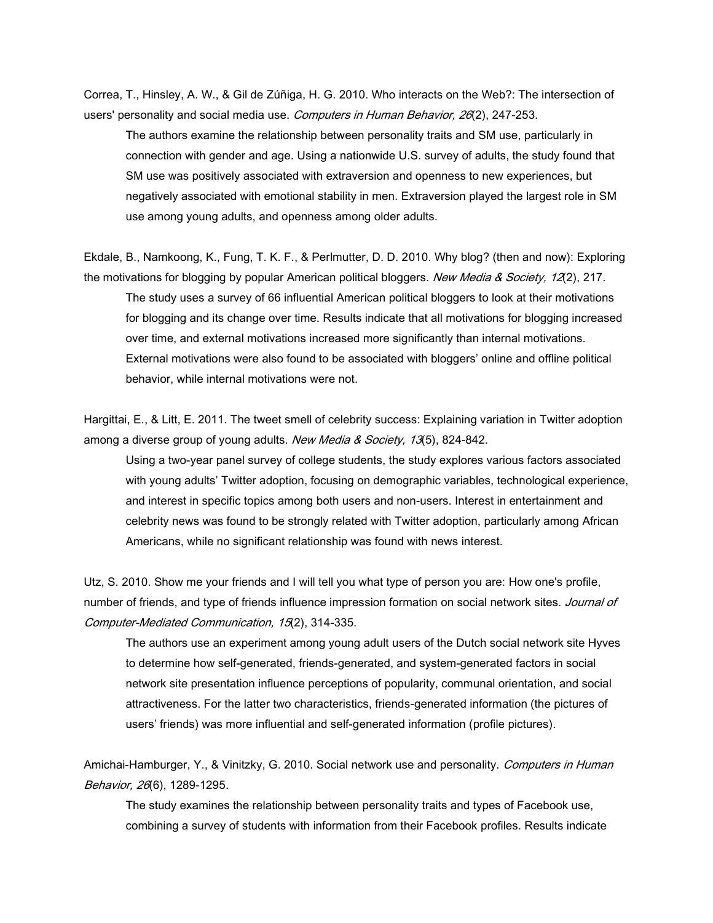Correa, T., Hinsley, A. W., & Gil de Zúñiga, H. G. 2010. Who interacts on the Web?: The intersection of users' personality and social media use. *Computers in Human Behavior, 26*(2), 247-253.

The authors examine the relationship between personality traits and SM use, particularly in connection with gender and age. Using a nationwide U.S. survey of adults, the study found that SM use was positively associated with extraversion and openness to new experiences, but negatively associated with emotional stability in men. Extraversion played the largest role in SM use among young adults, and openness among older adults.

Ekdale, B., Namkoong, K., Fung, T. K. F., & Perlmutter, D. D. 2010. Why blog? (then and now): Exploring the motivations for blogging by popular American political bloggers. *New Media & Society, 12*(2), 217.

The study uses a survey of 66 influential American political bloggers to look at their motivations for blogging and its change over time. Results indicate that all motivations for blogging increased over time, and external motivations increased more significantly than internal motivations. External motivations were also found to be associated with bloggers' online and offline political behavior, while internal motivations were not.

Hargittai, E., & Litt, E. 2011. The tweet smell of celebrity success: Explaining variation in Twitter adoption among a diverse group of young adults. *New Media & Society, 13*(5), 824-842.

Using a two-year panel survey of college students, the study explores various factors associated with young adults' Twitter adoption, focusing on demographic variables, technological experience, and interest in specific topics among both users and non-users. Interest in entertainment and celebrity news was found to be strongly related with Twitter adoption, particularly among African Americans, while no significant relationship was found with news interest.

Utz, S. 2010. Show me your friends and I will tell you what type of person you are: How one's profile, number of friends, and type of friends influence impression formation on social network sites. *Journal of Computer-Mediated Communication, 15*(2), 314-335.

The authors use an experiment among young adult users of the Dutch social network site Hyves to determine how self-generated, friends-generated, and system-generated factors in social network site presentation influence perceptions of popularity, communal orientation, and social attractiveness. For the latter two characteristics, friends-generated information (the pictures of users' friends) was more influential and self-generated information (profile pictures).

Amichai-Hamburger, Y., & Vinitzky, G. 2010. Social network use and personality. *Computers in Human Behavior, 26*(6), 1289-1295.

The study examines the relationship between personality traits and types of Facebook use, combining a survey of students with information from their Facebook profiles. Results indicate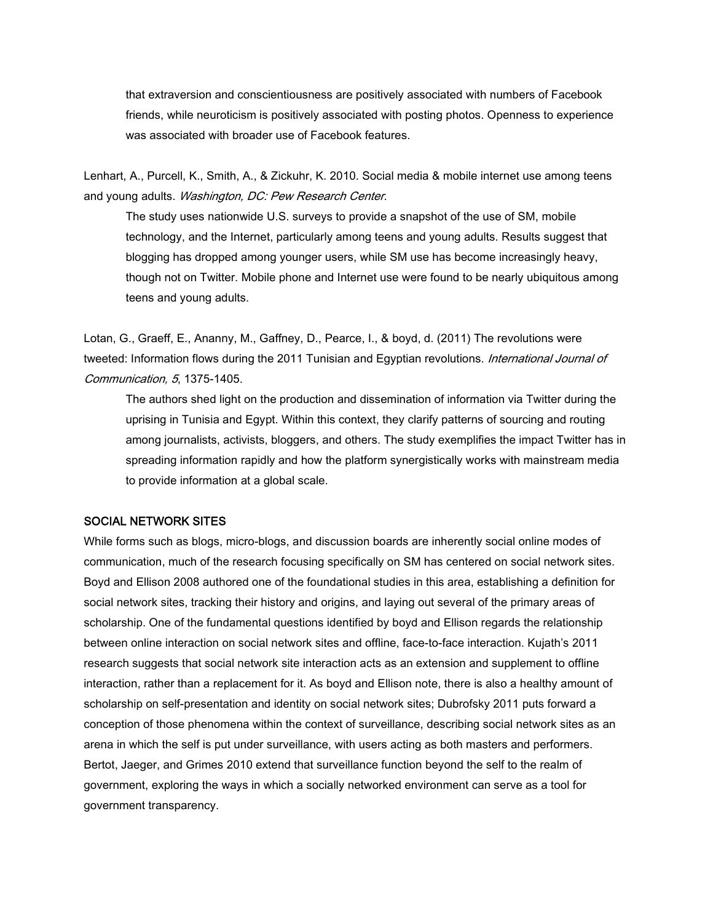that extraversion and conscientiousness are positively associated with numbers of Facebook friends, while neuroticism is positively associated with posting photos. Openness to experience was associated with broader use of Facebook features.

Lenhart, A., Purcell, K., Smith, A., & Zickuhr, K. 2010. Social media & mobile internet use among teens and young adults. *Washington, DC: Pew Research Center*.

The study uses nationwide U.S. surveys to provide a snapshot of the use of SM, mobile technology, and the Internet, particularly among teens and young adults. Results suggest that blogging has dropped among younger users, while SM use has become increasingly heavy, though not on Twitter. Mobile phone and Internet use were found to be nearly ubiquitous among teens and young adults.

Lotan, G., Graeff, E., Ananny, M., Gaffney, D., Pearce, I., & boyd, d. (2011) The revolutions were tweeted: Information flows during the 2011 Tunisian and Egyptian revolutions. *International Journal of Communication, 5*, 1375-1405.

The authors shed light on the production and dissemination of information via Twitter during the uprising in Tunisia and Egypt. Within this context, they clarify patterns of sourcing and routing among journalists, activists, bloggers, and others. The study exemplifies the impact Twitter has in spreading information rapidly and how the platform synergistically works with mainstream media to provide information at a global scale.

#### **SOCIAL NETWORK SITES**

While forms such as blogs, micro-blogs, and discussion boards are inherently social online modes of communication, much of the research focusing specifically on SM has centered on social network sites. Boyd and Ellison 2008 authored one of the foundational studies in this area, establishing a definition for social network sites, tracking their history and origins, and laying out several of the primary areas of scholarship. One of the fundamental questions identified by boyd and Ellison regards the relationship between online interaction on social network sites and offline, face-to-face interaction. Kujath's 2011 research suggests that social network site interaction acts as an extension and supplement to offline interaction, rather than a replacement for it. As boyd and Ellison note, there is also a healthy amount of scholarship on self-presentation and identity on social network sites; Dubrofsky 2011 puts forward a conception of those phenomena within the context of surveillance, describing social network sites as an arena in which the self is put under surveillance, with users acting as both masters and performers. Bertot, Jaeger, and Grimes 2010 extend that surveillance function beyond the self to the realm of government, exploring the ways in which a socially networked environment can serve as a tool for government transparency.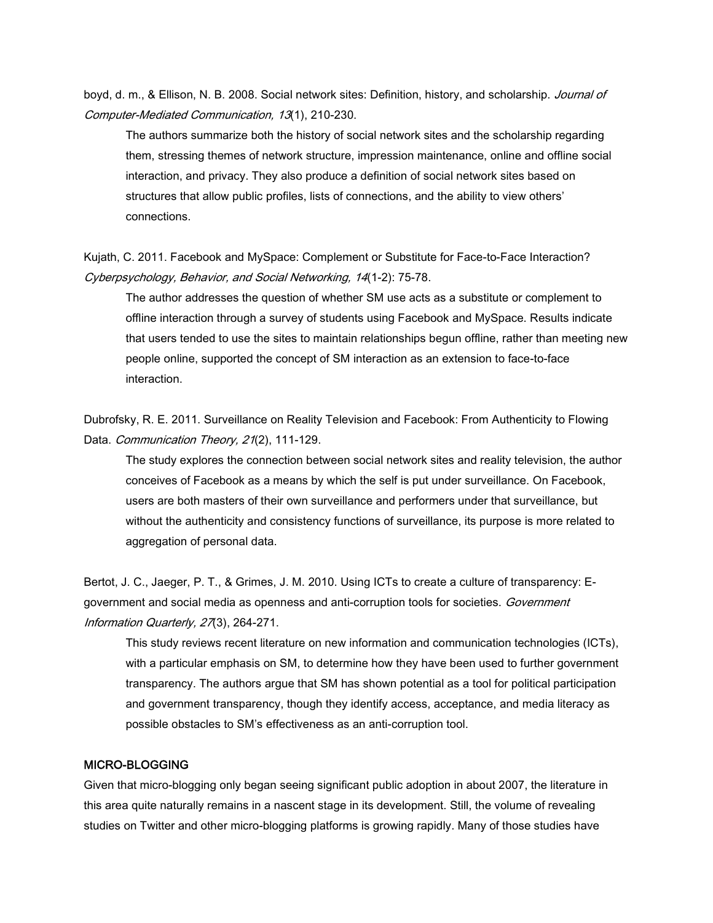boyd, d. m., & Ellison, N. B. 2008. Social network sites: Definition, history, and scholarship. *Journal of Computer-Mediated Communication, 13*(1), 210-230.

The authors summarize both the history of social network sites and the scholarship regarding them, stressing themes of network structure, impression maintenance, online and offline social interaction, and privacy. They also produce a definition of social network sites based on structures that allow public profiles, lists of connections, and the ability to view others' connections.

Kujath, C. 2011. Facebook and MySpace: Complement or Substitute for Face-to-Face Interaction? *Cyberpsychology, Behavior, and Social Networking, 14*(1-2): 75-78.

The author addresses the question of whether SM use acts as a substitute or complement to offline interaction through a survey of students using Facebook and MySpace. Results indicate that users tended to use the sites to maintain relationships begun offline, rather than meeting new people online, supported the concept of SM interaction as an extension to face-to-face interaction.

Dubrofsky, R. E. 2011. Surveillance on Reality Television and Facebook: From Authenticity to Flowing Data. *Communication Theory, 21*(2), 111-129.

The study explores the connection between social network sites and reality television, the author conceives of Facebook as a means by which the self is put under surveillance. On Facebook, users are both masters of their own surveillance and performers under that surveillance, but without the authenticity and consistency functions of surveillance, its purpose is more related to aggregation of personal data.

Bertot, J. C., Jaeger, P. T., & Grimes, J. M. 2010. Using ICTs to create a culture of transparency: E government and social media as openness and anti-corruption tools for societies. *Government Information Quarterly, 27*(3), 264-271.

This study reviews recent literature on new information and communication technologies (ICTs), with a particular emphasis on SM, to determine how they have been used to further government transparency. The authors argue that SM has shown potential as a tool for political participation and government transparency, though they identify access, acceptance, and media literacy as possible obstacles to SM's effectiveness as an anti-corruption tool.

## **MICRO-BLOGGING**

Given that micro-blogging only began seeing significant public adoption in about 2007, the literature in this area quite naturally remains in a nascent stage in its development. Still, the volume of revealing studies on Twitter and other micro-blogging platforms is growing rapidly. Many of those studies have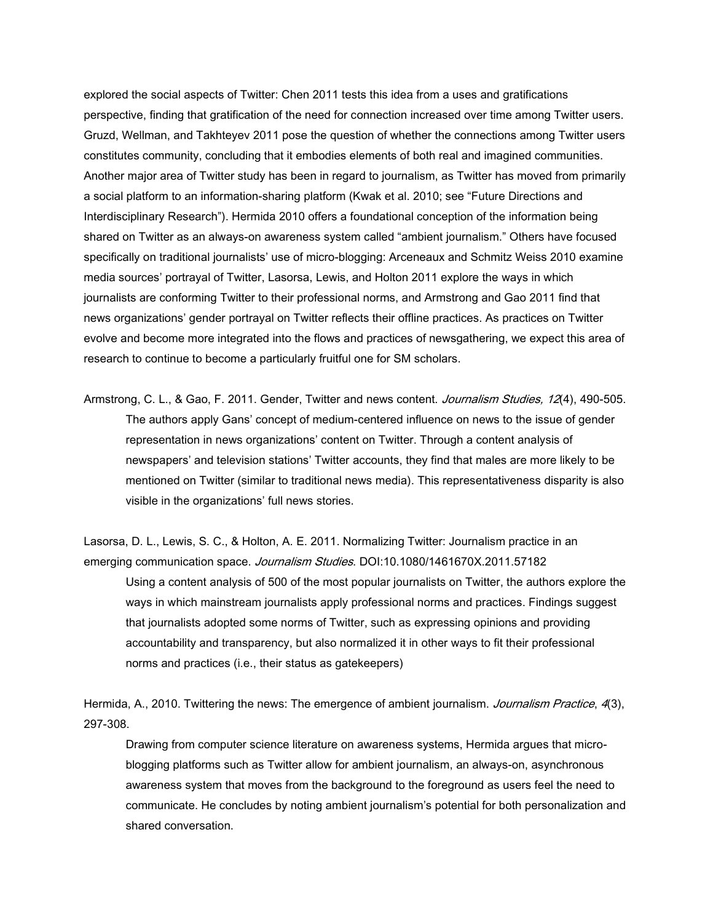explored the social aspects of Twitter: Chen 2011 tests this idea from a uses and gratifications perspective, finding that gratification of the need for connection increased over time among Twitter users. Gruzd, Wellman, and Takhteyev 2011 pose the question of whether the connections among Twitter users constitutes community, concluding that it embodies elements of both real and imagined communities. Another major area of Twitter study has been in regard to journalism, as Twitter has moved from primarily a social platform to an information-sharing platform (Kwak et al. 2010; see "Future Directions and Interdisciplinary Research"). Hermida 2010 offers a foundational conception of the information being shared on Twitter as an always-on awareness system called "ambient journalism." Others have focused specifically on traditional journalists' use of micro-blogging: Arceneaux and Schmitz Weiss 2010 examine media sources' portrayal of Twitter, Lasorsa, Lewis, and Holton 2011 explore the ways in which journalists are conforming Twitter to their professional norms, and Armstrong and Gao 2011 find that news organizations' gender portrayal on Twitter reflects their offline practices. As practices on Twitter evolve and become more integrated into the flows and practices of newsgathering, we expect this area of research to continue to become a particularly fruitful one for SM scholars.

Armstrong, C. L., & Gao, F. 2011. Gender, Twitter and news content. *Journalism Studies, 12*(4), 490-505. The authors apply Gans' concept of medium-centered influence on news to the issue of gender representation in news organizations' content on Twitter. Through a content analysis of newspapers' and television stations' Twitter accounts, they find that males are more likely to be mentioned on Twitter (similar to traditional news media). This representativeness disparity is also visible in the organizations' full news stories.

Lasorsa, D. L., Lewis, S. C., & Holton, A. E. 2011. Normalizing Twitter: Journalism practice in an emerging communication space. *Journalism Studies*. DOI:10.1080/1461670X.2011.57182 Using a content analysis of 500 of the most popular journalists on Twitter, the authors explore the ways in which mainstream journalists apply professional norms and practices. Findings suggest that journalists adopted some norms of Twitter, such as expressing opinions and providing accountability and transparency, but also normalized it in other ways to fit their professional norms and practices (i.e., their status as gatekeepers)

Hermida, A., 2010. Twittering the news: The emergence of ambient journalism. *Journalism Practice*, *4*(3), 297-308.

Drawing from computer science literature on awareness systems, Hermida argues that micro blogging platforms such as Twitter allow for ambient journalism, an always-on, asynchronous awareness system that moves from the background to the foreground as users feel the need to communicate. He concludes by noting ambient journalism's potential for both personalization and shared conversation.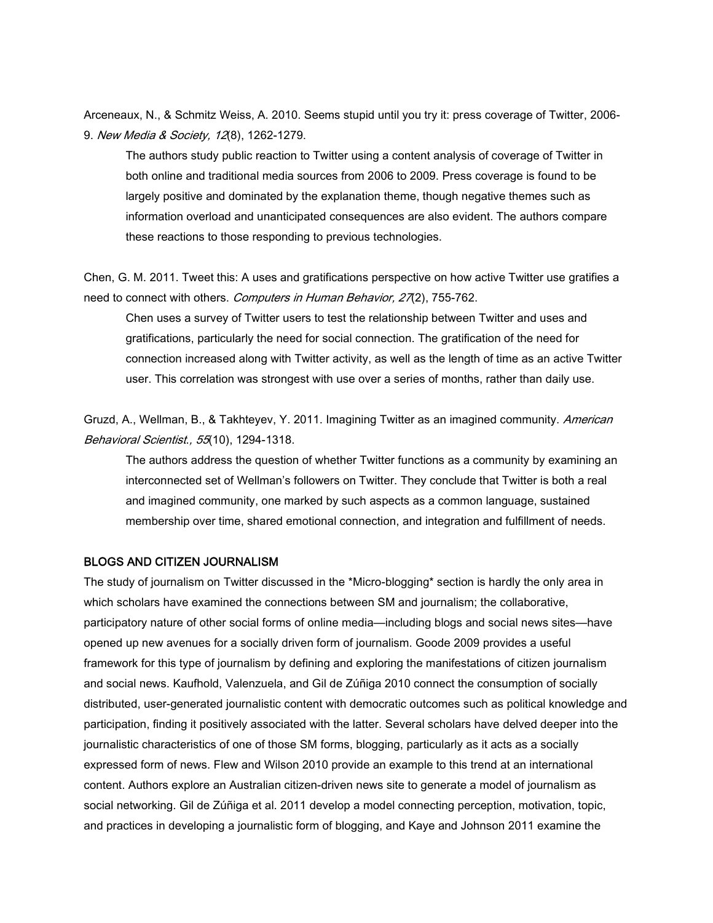Arceneaux, N., & Schmitz Weiss, A. 2010. Seems stupid until you try it: press coverage of Twitter, 2006- 9. *New Media & Society, 12*(8), 1262-1279.

The authors study public reaction to Twitter using a content analysis of coverage of Twitter in both online and traditional media sources from 2006 to 2009. Press coverage is found to be largely positive and dominated by the explanation theme, though negative themes such as information overload and unanticipated consequences are also evident. The authors compare these reactions to those responding to previous technologies.

Chen, G. M. 2011. Tweet this: A uses and gratifications perspective on how active Twitter use gratifies a need to connect with others. *Computers in Human Behavior, 27*(2), 755-762.

Chen uses a survey of Twitter users to test the relationship between Twitter and uses and gratifications, particularly the need for social connection. The gratification of the need for connection increased along with Twitter activity, as well as the length of time as an active Twitter user. This correlation was strongest with use over a series of months, rather than daily use.

Gruzd, A., Wellman, B., & Takhteyev, Y. 2011. Imagining Twitter as an imagined community. *American Behavioral Scientist*.*, 55*(10), 1294-1318.

The authors address the question of whether Twitter functions as a community by examining an interconnected set of Wellman's followers on Twitter. They conclude that Twitter is both a real and imagined community, one marked by such aspects as a common language, sustained membership over time, shared emotional connection, and integration and fulfillment of needs.

#### **BLOGS AND CITIZEN JOURNALISM**

The study of journalism on Twitter discussed in the \*Micro-blogging\* section is hardly the only area in which scholars have examined the connections between SM and journalism; the collaborative, participatory nature of other social forms of online media—including blogs and social news sites—have opened up new avenues for a socially driven form of journalism. Goode 2009 provides a useful framework for this type of journalism by defining and exploring the manifestations of citizen journalism and social news. Kaufhold, Valenzuela, and Gil de Zúñiga 2010 connect the consumption of socially distributed, user-generated journalistic content with democratic outcomes such as political knowledge and participation, finding it positively associated with the latter. Several scholars have delved deeper into the journalistic characteristics of one of those SM forms, blogging, particularly as it acts as a socially expressed form of news. Flew and Wilson 2010 provide an example to this trend at an international content. Authors explore an Australian citizen-driven news site to generate a model of journalism as social networking. Gil de Zúñiga et al. 2011 develop a model connecting perception, motivation, topic, and practices in developing a journalistic form of blogging, and Kaye and Johnson 2011 examine the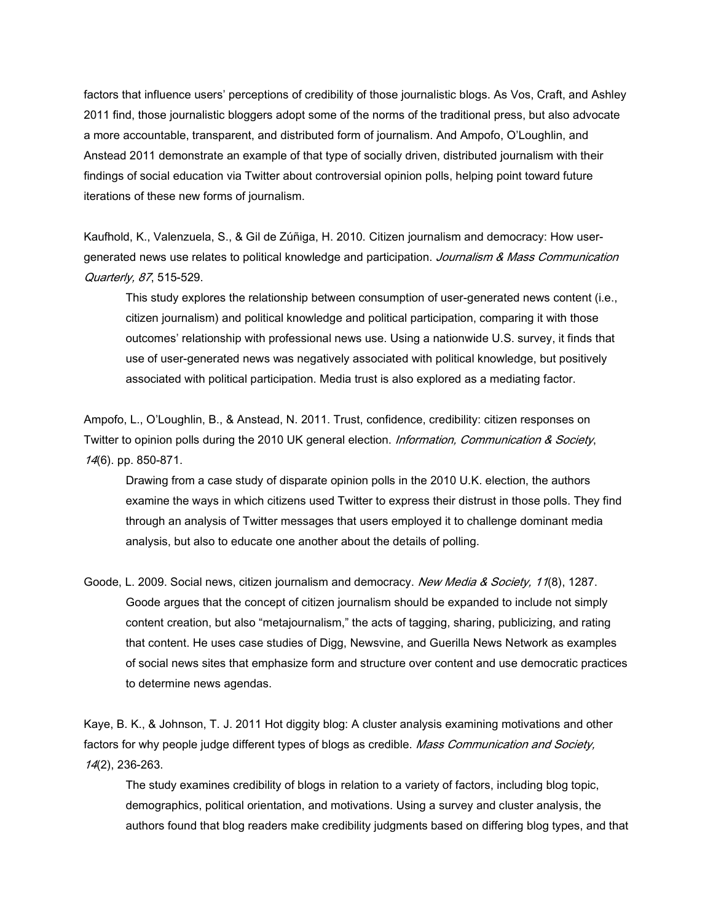factors that influence users' perceptions of credibility of those journalistic blogs. As Vos, Craft, and Ashley 2011 find, those journalistic bloggers adopt some of the norms of the traditional press, but also advocate a more accountable, transparent, and distributed form of journalism. And Ampofo, O'Loughlin, and Anstead 2011 demonstrate an example of that type of socially driven, distributed journalism with their findings of social education via Twitter about controversial opinion polls, helping point toward future iterations of these new forms of journalism.

Kaufhold, K., Valenzuela, S., & Gil de Zúñiga, H. 2010. Citizen journalism and democracy: How user generated news use relates to political knowledge and participation. *Journalism & Mass Communication Quarterly, 87*, 515-529.

This study explores the relationship between consumption of user-generated news content (i.e., citizen journalism) and political knowledge and political participation, comparing it with those outcomes' relationship with professional news use. Using a nationwide U.S. survey, it finds that use of user-generated news was negatively associated with political knowledge, but positively associated with political participation. Media trust is also explored as a mediating factor.

Ampofo, L., O'Loughlin, B., & Anstead, N. 2011. Trust, confidence, credibility: citizen responses on Twitter to opinion polls during the 2010 UK general election. *Information, Communication & Society*, *14*(6). pp. 850-871.

Drawing from a case study of disparate opinion polls in the 2010 U.K. election, the authors examine the ways in which citizens used Twitter to express their distrust in those polls. They find through an analysis of Twitter messages that users employed it to challenge dominant media analysis, but also to educate one another about the details of polling.

Goode, L. 2009. Social news, citizen journalism and democracy. *New Media & Society, 11*(8), 1287. Goode argues that the concept of citizen journalism should be expanded to include not simply content creation, but also "metajournalism," the acts of tagging, sharing, publicizing, and rating that content. He uses case studies of Digg, Newsvine, and Guerilla News Network as examples of social news sites that emphasize form and structure over content and use democratic practices to determine news agendas.

Kaye, B. K., & Johnson, T. J. 2011 Hot diggity blog: A cluster analysis examining motivations and other factors for why people judge different types of blogs as credible. *Mass Communication and Society, 14*(2), 236-263.

The study examines credibility of blogs in relation to a variety of factors, including blog topic, demographics, political orientation, and motivations. Using a survey and cluster analysis, the authors found that blog readers make credibility judgments based on differing blog types, and that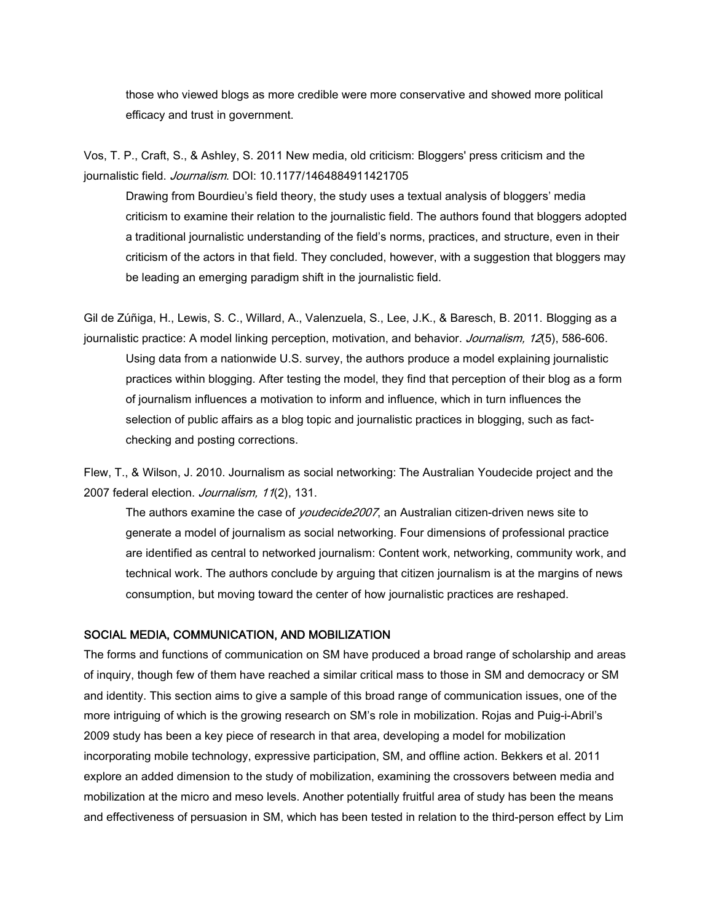those who viewed blogs as more credible were more conservative and showed more political efficacy and trust in government.

Vos, T. P., Craft, S., & Ashley, S. 2011 New media, old criticism: Bloggers' press criticism and the journalistic field. *Journalism*. DOI: 10.1177/1464884911421705

Drawing from Bourdieu's field theory, the study uses a textual analysis of bloggers' media criticism to examine their relation to the journalistic field. The authors found that bloggers adopted a traditional journalistic understanding of the field's norms, practices, and structure, even in their criticism of the actors in that field. They concluded, however, with a suggestion that bloggers may be leading an emerging paradigm shift in the journalistic field.

Gil de Zúñiga, H., Lewis, S. C., Willard, A., Valenzuela, S., Lee, J.K., & Baresch, B. 2011. Blogging as a journalistic practice: A model linking perception, motivation, and behavior. *Journalism, 12*(5), 586-606*.* Using data from a nationwide U.S. survey, the authors produce a model explaining journalistic practices within blogging. After testing the model, they find that perception of their blog as a form of journalism influences a motivation to inform and influence, which in turn influences the selection of public affairs as a blog topic and journalistic practices in blogging, such as fact checking and posting corrections.

Flew, T., & Wilson, J. 2010. Journalism as social networking: The Australian Youdecide project and the 2007 federal election. *Journalism, 11*(2), 131.

The authors examine the case of *youdecide2007*, an Australian citizen-driven news site to generate a model of journalism as social networking. Four dimensions of professional practice are identified as central to networked journalism: Content work, networking, community work, and technical work. The authors conclude by arguing that citizen journalism is at the margins of news consumption, but moving toward the center of how journalistic practices are reshaped.

## **SOCIAL MEDIA, COMMUNICATION, AND MOBILIZATION**

The forms and functions of communication on SM have produced a broad range of scholarship and areas of inquiry, though few of them have reached a similar critical mass to those in SM and democracy or SM and identity. This section aims to give a sample of this broad range of communication issues, one of the more intriguing of which is the growing research on SM's role in mobilization. Rojas and Puig-i-Abril's 2009 study has been a key piece of research in that area, developing a model for mobilization incorporating mobile technology, expressive participation, SM, and offline action. Bekkers et al. 2011 explore an added dimension to the study of mobilization, examining the crossovers between media and mobilization at the micro and meso levels. Another potentially fruitful area of study has been the means and effectiveness of persuasion in SM, which has been tested in relation to the third-person effect by Lim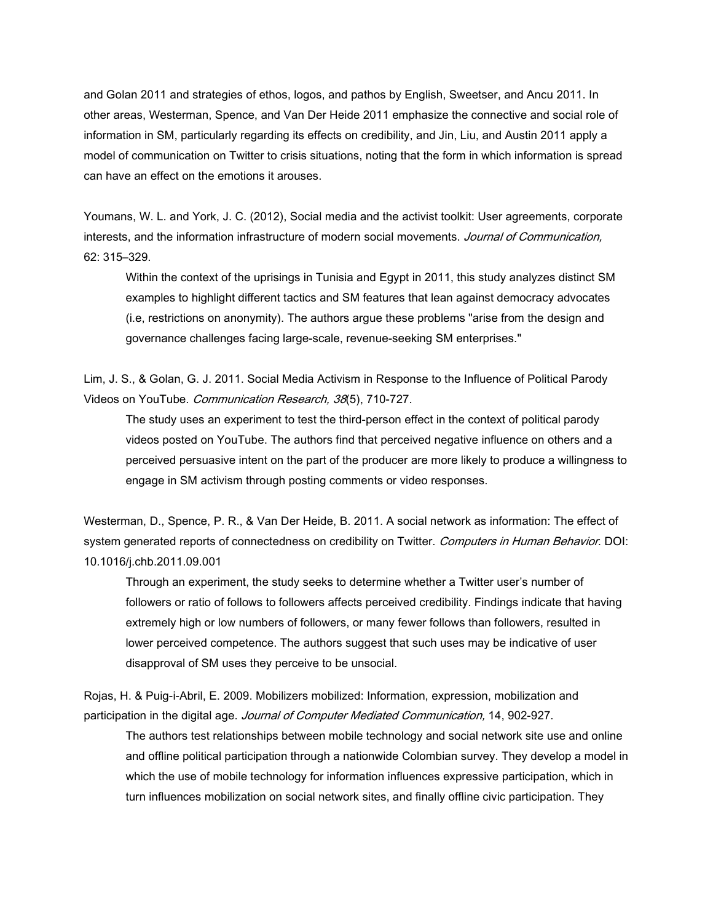and Golan 2011 and strategies of ethos, logos, and pathos by English, Sweetser, and Ancu 2011. In other areas, Westerman, Spence, and Van Der Heide 2011 emphasize the connective and social role of information in SM, particularly regarding its effects on credibility, and Jin, Liu, and Austin 2011 apply a model of communication on Twitter to crisis situations, noting that the form in which information is spread can have an effect on the emotions it arouses.

Youmans, W. L. and York, J. C. (2012), Social media and the activist toolkit: User agreements, corporate interests, and the information infrastructure of modern social movements. *Journal of Communication,* 62: 315–329.

Within the context of the uprisings in Tunisia and Egypt in 2011, this study analyzes distinct SM examples to highlight different tactics and SM features that lean against democracy advocates (i.e, restrictions on anonymity). The authors argue these problems "arise from the design and governance challenges facing large-scale, revenue-seeking SM enterprises."

Lim, J. S., & Golan, G. J. 2011. Social Media Activism in Response to the Influence of Political Parody Videos on YouTube. *Communication Research, 38*(5), 710-727.

The study uses an experiment to test the third-person effect in the context of political parody videos posted on YouTube. The authors find that perceived negative influence on others and a perceived persuasive intent on the part of the producer are more likely to produce a willingness to engage in SM activism through posting comments or video responses.

Westerman, D., Spence, P. R., & Van Der Heide, B. 2011. A social network as information: The effect of system generated reports of connectedness on credibility on Twitter. *Computers in Human Behavior*. DOI: 10.1016/j.chb.2011.09.001

Through an experiment, the study seeks to determine whether a Twitter user's number of followers or ratio of follows to followers affects perceived credibility. Findings indicate that having extremely high or low numbers of followers, or many fewer follows than followers, resulted in lower perceived competence. The authors suggest that such uses may be indicative of user disapproval of SM uses they perceive to be unsocial.

Rojas, H. & Puig-i-Abril, E. 2009. Mobilizers mobilized: Information, expression, mobilization and participation in the digital age. *Journal of Computer Mediated Communication,* 14, 902-927.

The authors test relationships between mobile technology and social network site use and online and offline political participation through a nationwide Colombian survey. They develop a model in which the use of mobile technology for information influences expressive participation, which in turn influences mobilization on social network sites, and finally offline civic participation. They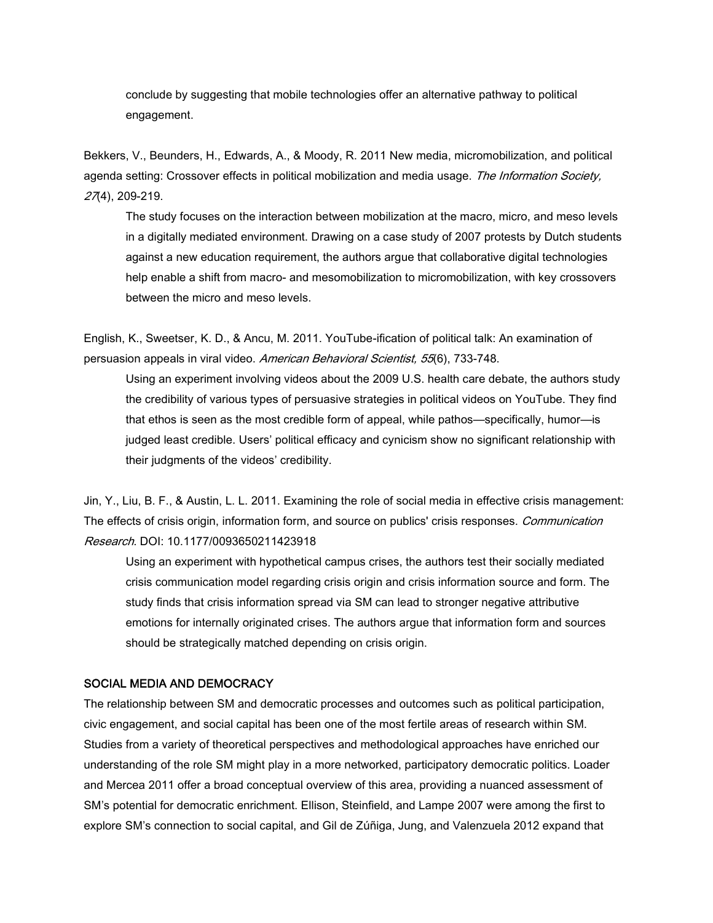conclude by suggesting that mobile technologies offer an alternative pathway to political engagement.

Bekkers, V., Beunders, H., Edwards, A., & Moody, R. 2011 New media, micromobilization, and political agenda setting: Crossover effects in political mobilization and media usage. *The Information Society, 27*(4), 209-219.

The study focuses on the interaction between mobilization at the macro, micro, and meso levels in a digitally mediated environment. Drawing on a case study of 2007 protests by Dutch students against a new education requirement, the authors argue that collaborative digital technologies help enable a shift from macro- and mesomobilization to micromobilization, with key crossovers between the micro and meso levels.

English, K., Sweetser, K. D., & Ancu, M. 2011. YouTube-ification of political talk: An examination of persuasion appeals in viral video. *American Behavioral Scientist, 55*(6), 733-748.

Using an experiment involving videos about the 2009 U.S. health care debate, the authors study the credibility of various types of persuasive strategies in political videos on YouTube. They find that ethos is seen as the most credible form of appeal, while pathos—specifically, humor—is judged least credible. Users' political efficacy and cynicism show no significant relationship with their judgments of the videos' credibility.

Jin, Y., Liu, B. F., & Austin, L. L. 2011. Examining the role of social media in effective crisis management: The effects of crisis origin, information form, and source on publics' crisis responses. *Communication Research*. DOI: 10.1177/0093650211423918

Using an experiment with hypothetical campus crises, the authors test their socially mediated crisis communication model regarding crisis origin and crisis information source and form. The study finds that crisis information spread via SM can lead to stronger negative attributive emotions for internally originated crises. The authors argue that information form and sources should be strategically matched depending on crisis origin.

### **SOCIAL MEDIA AND DEMOCRACY**

The relationship between SM and democratic processes and outcomes such as political participation, civic engagement, and social capital has been one of the most fertile areas of research within SM. Studies from a variety of theoretical perspectives and methodological approaches have enriched our understanding of the role SM might play in a more networked, participatory democratic politics. Loader and Mercea 2011 offer a broad conceptual overview of this area, providing a nuanced assessment of SM's potential for democratic enrichment. Ellison, Steinfield, and Lampe 2007 were among the first to explore SM's connection to social capital, and Gil de Zúñiga, Jung, and Valenzuela 2012 expand that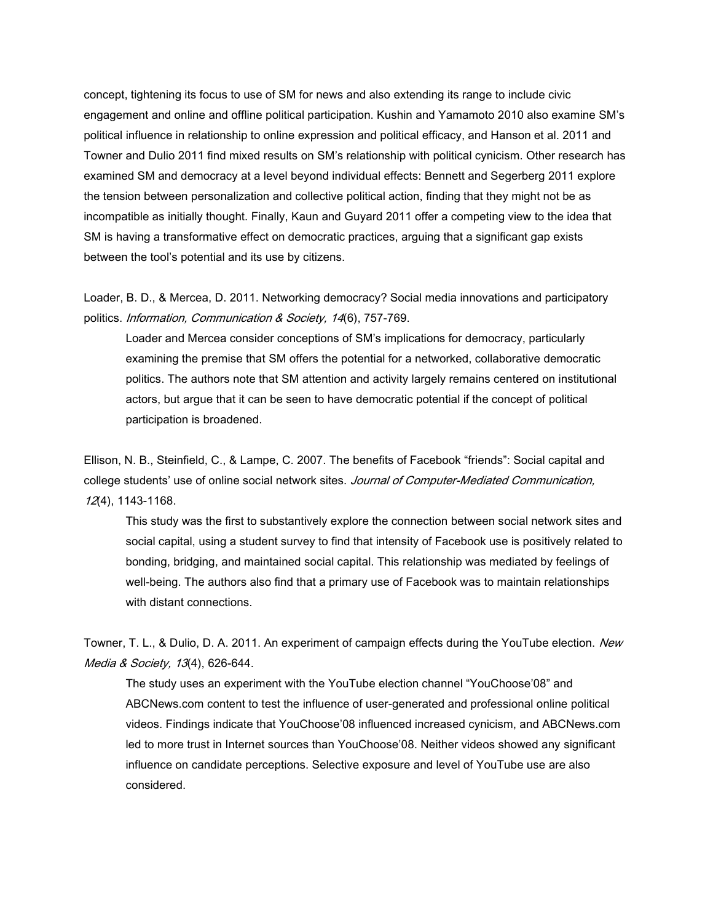concept, tightening its focus to use of SM for news and also extending its range to include civic engagement and online and offline political participation. Kushin and Yamamoto 2010 also examine SM's political influence in relationship to online expression and political efficacy, and Hanson et al. 2011 and Towner and Dulio 2011 find mixed results on SM's relationship with political cynicism. Other research has examined SM and democracy at a level beyond individual effects: Bennett and Segerberg 2011 explore the tension between personalization and collective political action, finding that they might not be as incompatible as initially thought. Finally, Kaun and Guyard 2011 offer a competing view to the idea that SM is having a transformative effect on democratic practices, arguing that a significant gap exists between the tool's potential and its use by citizens.

Loader, B. D., & Mercea, D. 2011. Networking democracy? Social media innovations and participatory politics. *Information, Communication & Society, 14*(6), 757-769.

Loader and Mercea consider conceptions of SM's implications for democracy, particularly examining the premise that SM offers the potential for a networked, collaborative democratic politics. The authors note that SM attention and activity largely remains centered on institutional actors, but argue that it can be seen to have democratic potential if the concept of political participation is broadened.

Ellison, N. B., Steinfield, C., & Lampe, C. 2007. The benefits of Facebook "friends": Social capital and college students' use of online social network sites. *Journal of Computer-Mediated Communication, 12*(4), 1143-1168.

This study was the first to substantively explore the connection between social network sites and social capital, using a student survey to find that intensity of Facebook use is positively related to bonding, bridging, and maintained social capital. This relationship was mediated by feelings of well-being. The authors also find that a primary use of Facebook was to maintain relationships with distant connections.

Towner, T. L., & Dulio, D. A. 2011. An experiment of campaign effects during the YouTube election. *New Media & Society, 13*(4), 626-644.

The study uses an experiment with the YouTube election channel "YouChoose'08" and ABCNews.com content to test the influence of user-generated and professional online political videos. Findings indicate that YouChoose'08 influenced increased cynicism, and ABCNews.com led to more trust in Internet sources than YouChoose'08. Neither videos showed any significant influence on candidate perceptions. Selective exposure and level of YouTube use are also considered.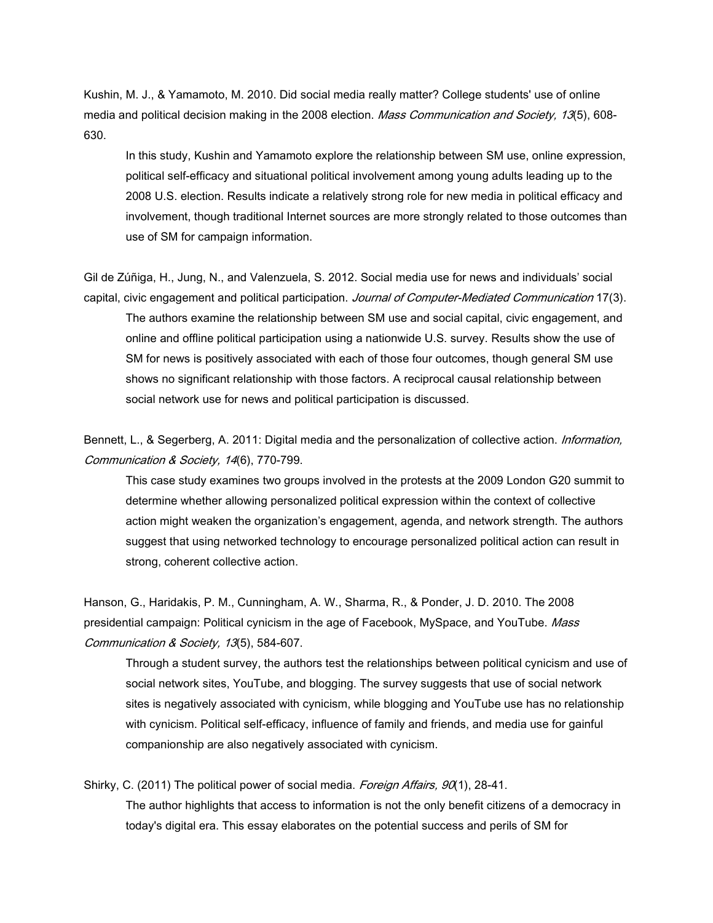Kushin, M. J., & Yamamoto, M. 2010. Did social media really matter? College students' use of online media and political decision making in the 2008 election. *Mass Communication and Society, 13*(5), 608- 630.

In this study, Kushin and Yamamoto explore the relationship between SM use, online expression, political self-efficacy and situational political involvement among young adults leading up to the 2008 U.S. election. Results indicate a relatively strong role for new media in political efficacy and involvement, though traditional Internet sources are more strongly related to those outcomes than use of SM for campaign information.

Gil de Zúñiga, H., Jung, N., and Valenzuela, S. 2012. Social media use for news and individuals' social capital, civic engagement and political participation. *Journal of Computer-Mediated Communication* 17(3). The authors examine the relationship between SM use and social capital, civic engagement, and online and offline political participation using a nationwide U.S. survey. Results show the use of SM for news is positively associated with each of those four outcomes, though general SM use shows no significant relationship with those factors. A reciprocal causal relationship between social network use for news and political participation is discussed.

Bennett, L., & Segerberg, A. 2011: Digital media and the personalization of collective action. *Information, Communication & Society, 14*(6), 770-799.

This case study examines two groups involved in the protests at the 2009 London G20 summit to determine whether allowing personalized political expression within the context of collective action might weaken the organization's engagement, agenda, and network strength. The authors suggest that using networked technology to encourage personalized political action can result in strong, coherent collective action.

Hanson, G., Haridakis, P. M., Cunningham, A. W., Sharma, R., & Ponder, J. D. 2010. The 2008 presidential campaign: Political cynicism in the age of Facebook, MySpace, and YouTube. *Mass Communication & Society, 13*(5), 584-607.

Through a student survey, the authors test the relationships between political cynicism and use of social network sites, YouTube, and blogging. The survey suggests that use of social network sites is negatively associated with cynicism, while blogging and YouTube use has no relationship with cynicism. Political self-efficacy, influence of family and friends, and media use for gainful companionship are also negatively associated with cynicism.

Shirky, C. (2011) The political power of social media. *Foreign Affairs, 90*(1), 28-41. The author highlights that access to information is not the only benefit citizens of a democracy in today's digital era. This essay elaborates on the potential success and perils of SM for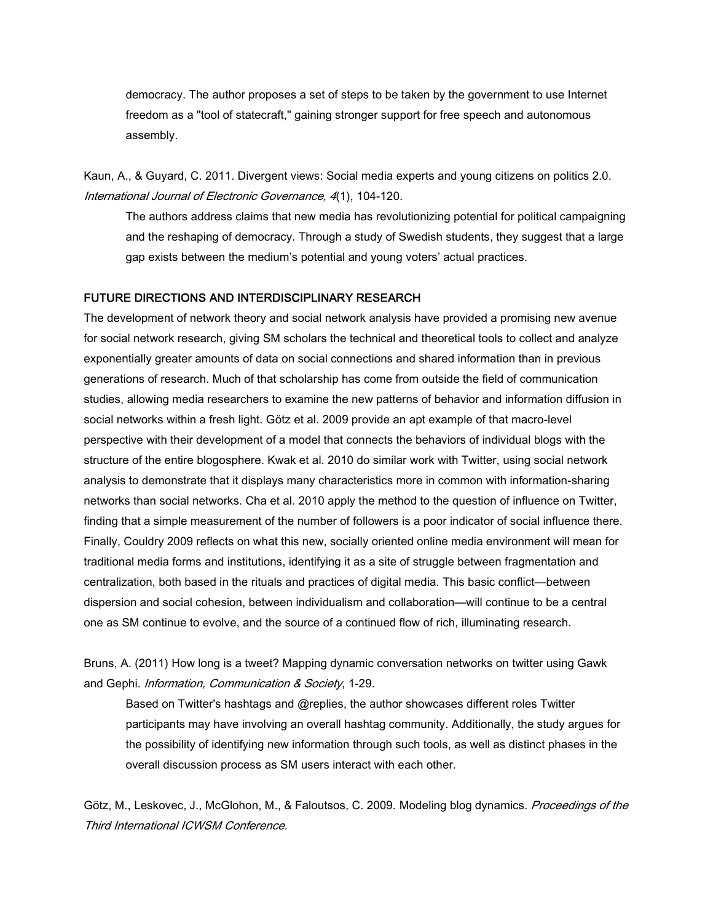democracy. The author proposes a set of steps to be taken by the government to use Internet freedom as a "tool of statecraft," gaining stronger support for free speech and autonomous assembly.

Kaun, A., & Guyard, C. 2011. Divergent views: Social media experts and young citizens on politics 2.0. *International Journal of Electronic Governance, 4*(1), 104-120.

The authors address claims that new media has revolutionizing potential for political campaigning and the reshaping of democracy. Through a study of Swedish students, they suggest that a large gap exists between the medium's potential and young voters' actual practices.

### **FUTURE DIRECTIONS AND INTERDISCIPLINARY RESEARCH**

The development of network theory and social network analysis have provided a promising new avenue for social network research, giving SM scholars the technical and theoretical tools to collect and analyze exponentially greater amounts of data on social connections and shared information than in previous generations of research. Much of that scholarship has come from outside the field of communication studies, allowing media researchers to examine the new patterns of behavior and information diffusion in social networks within a fresh light. Götz et al. 2009 provide an apt example of that macro-level perspective with their development of a model that connects the behaviors of individual blogs with the structure of the entire blogosphere. Kwak et al. 2010 do similar work with Twitter, using social network analysis to demonstrate that it displays many characteristics more in common with information-sharing networks than social networks. Cha et al. 2010 apply the method to the question of influence on Twitter, finding that a simple measurement of the number of followers is a poor indicator of social influence there. Finally, Couldry 2009 reflects on what this new, socially oriented online media environment will mean for traditional media forms and institutions, identifying it as a site of struggle between fragmentation and centralization, both based in the rituals and practices of digital media. This basic conflict—between dispersion and social cohesion, between individualism and collaboration—will continue to be a central one as SM continue to evolve, and the source of a continued flow of rich, illuminating research.

Bruns, A. (2011) How long is a tweet? Mapping dynamic conversation networks on twitter using Gawk and Gephi. *Information, Communication & Society*, 1-29.

Based on Twitter's hashtags and @replies, the author showcases different roles Twitter participants may have involving an overall hashtag community. Additionally, the study argues for the possibility of identifying new information through such tools, as well as distinct phases in the overall discussion process as SM users interact with each other.

Götz, M., Leskovec, J., McGlohon, M., & Faloutsos, C. 2009. Modeling blog dynamics. *Proceedings of the Third International ICWSM Conference.*